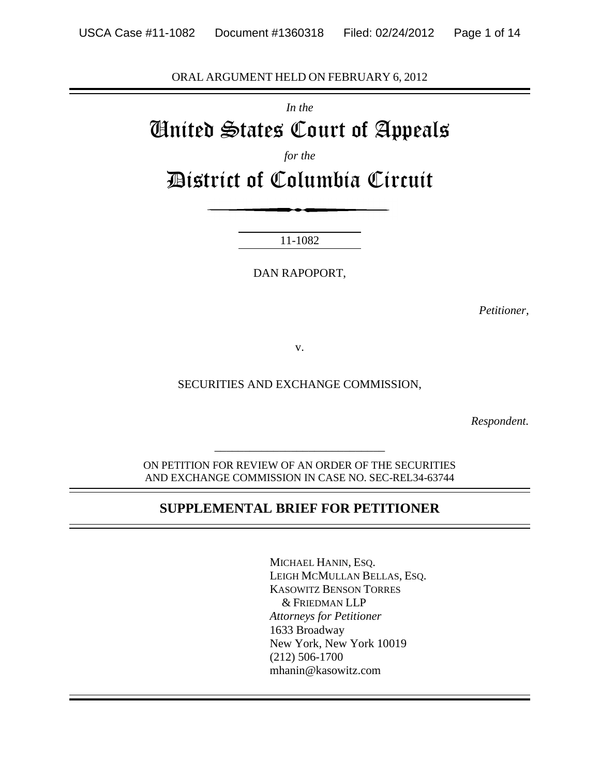ORAL ARGUMENT HELD ON FEBRUARY 6, 2012

*In the*

# United States Court of Appeals

*for the*

District of Columbia Circuit

11-1082

DAN RAPOPORT,

*Petitioner,*

v.

SECURITIES AND EXCHANGE COMMISSION,

*Respondent.*

ON PETITION FOR REVIEW OF AN ORDER OF THE SECURITIES AND EXCHANGE COMMISSION IN CASE NO. SEC-REL34-63744

*\_\_\_\_\_\_\_\_\_\_\_\_\_\_\_\_\_\_\_\_\_\_\_\_\_\_\_\_\_*

#### **SUPPLEMENTAL BRIEF FOR PETITIONER**

MICHAEL HANIN, ESQ. LEIGH MCMULLAN BELLAS, ESQ. KASOWITZ BENSON TORRES & FRIEDMAN LLP *Attorneys for Petitioner* 1633 Broadway New York, New York 10019 (212) 506-1700 mhanin@kasowitz.com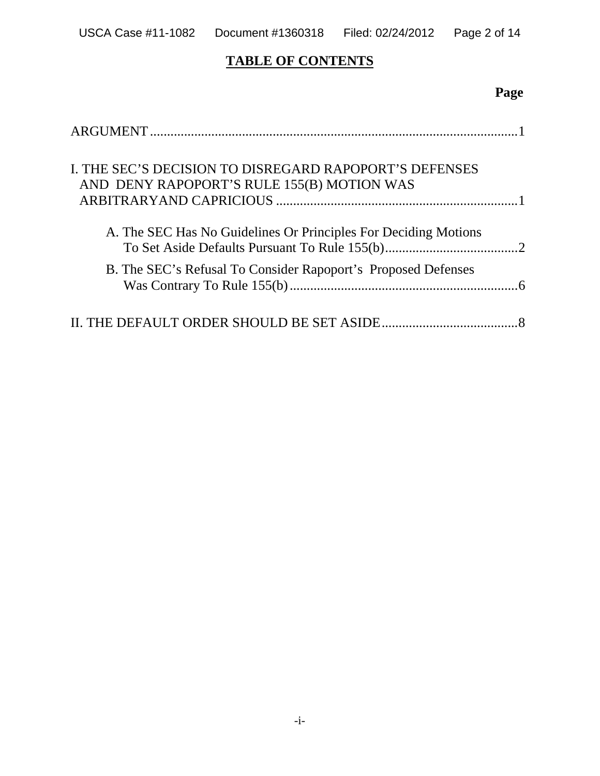# **TABLE OF CONTENTS**

# **Page**

| I. THE SEC'S DECISION TO DISREGARD RAPOPORT'S DEFENSES<br>AND DENY RAPOPORT'S RULE 155(B) MOTION WAS |  |
|------------------------------------------------------------------------------------------------------|--|
| A. The SEC Has No Guidelines Or Principles For Deciding Motions                                      |  |
| B. The SEC's Refusal To Consider Rapoport's Proposed Defenses                                        |  |
|                                                                                                      |  |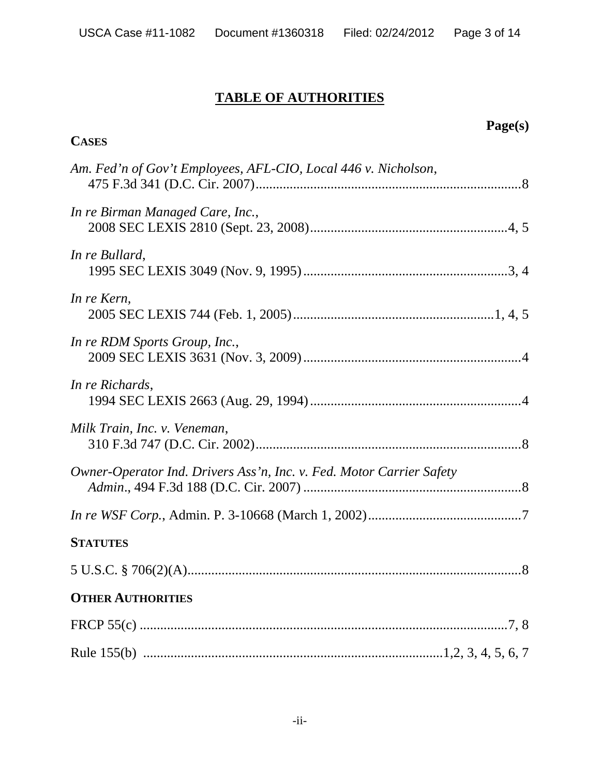# **TABLE OF AUTHORITIES**

# **CASES**

# **Page(s)**

| Am. Fed'n of Gov't Employees, AFL-CIO, Local 446 v. Nicholson,       |
|----------------------------------------------------------------------|
| In re Birman Managed Care, Inc.,                                     |
| In re Bullard,                                                       |
| In re Kern,                                                          |
| In re RDM Sports Group, Inc.,                                        |
| In re Richards,                                                      |
| Milk Train, Inc. v. Veneman,                                         |
| Owner-Operator Ind. Drivers Ass'n, Inc. v. Fed. Motor Carrier Safety |
|                                                                      |
| <b>STATUTES</b>                                                      |
|                                                                      |
| <b>OTHER AUTHORITIES</b>                                             |
|                                                                      |
|                                                                      |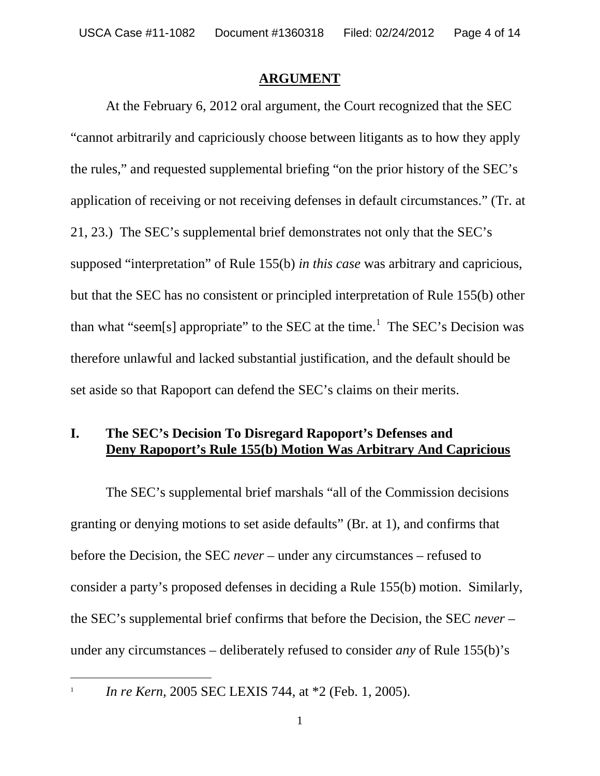#### **ARGUMENT**

At the February 6, 2012 oral argument, the Court recognized that the SEC "cannot arbitrarily and capriciously choose between litigants as to how they apply the rules," and requested supplemental briefing "on the prior history of the SEC's application of receiving or not receiving defenses in default circumstances." (Tr. at 21, 23.) The SEC's supplemental brief demonstrates not only that the SEC's supposed "interpretation" of Rule 155(b) *in this case* was arbitrary and capricious, but that the SEC has no consistent or principled interpretation of Rule 155(b) other than what "seem[s] appropriate" to the SEC at the time.<sup>1</sup> The SEC's Decision was therefore unlawful and lacked substantial justification, and the default should be set aside so that Rapoport can defend the SEC's claims on their merits.

#### **I. The SEC's Decision To Disregard Rapoport's Defenses and Deny Rapoport's Rule 155(b) Motion Was Arbitrary And Capricious**

The SEC's supplemental brief marshals "all of the Commission decisions granting or denying motions to set aside defaults" (Br. at 1), and confirms that before the Decision, the SEC *never* – under any circumstances – refused to consider a party's proposed defenses in deciding a Rule 155(b) motion. Similarly, the SEC's supplemental brief confirms that before the Decision, the SEC *never* – under any circumstances – deliberately refused to consider *any* of Rule 155(b)'s

1

*In re Kern,* 2005 SEC LEXIS 744, at \*2 (Feb. 1, 2005).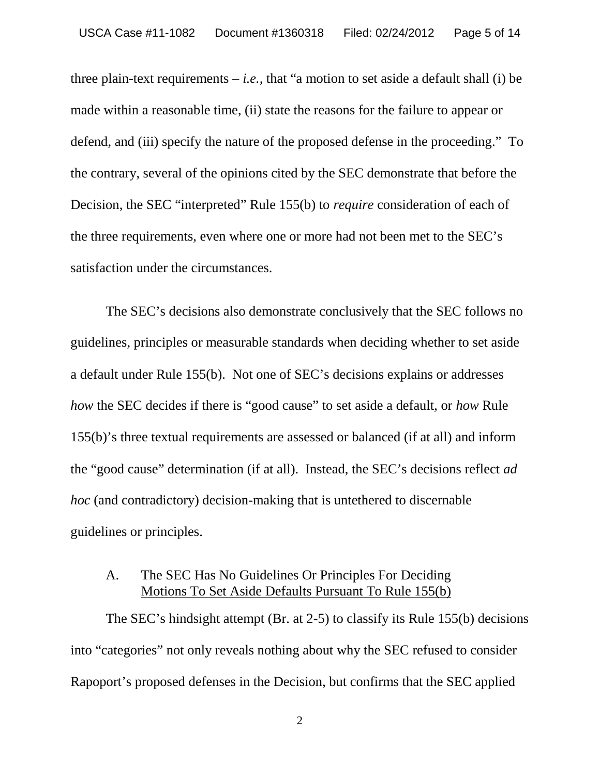three plain-text requirements  $-i.e.,$  that "a motion to set aside a default shall (i) be made within a reasonable time, (ii) state the reasons for the failure to appear or defend, and (iii) specify the nature of the proposed defense in the proceeding." To the contrary, several of the opinions cited by the SEC demonstrate that before the Decision, the SEC "interpreted" Rule 155(b) to *require* consideration of each of the three requirements, even where one or more had not been met to the SEC's satisfaction under the circumstances.

The SEC's decisions also demonstrate conclusively that the SEC follows no guidelines, principles or measurable standards when deciding whether to set aside a default under Rule 155(b). Not one of SEC's decisions explains or addresses *how* the SEC decides if there is "good cause" to set aside a default, or *how* Rule 155(b)'s three textual requirements are assessed or balanced (if at all) and inform the "good cause" determination (if at all). Instead, the SEC's decisions reflect *ad hoc* (and contradictory) decision-making that is untethered to discernable guidelines or principles.

#### A. The SEC Has No Guidelines Or Principles For Deciding Motions To Set Aside Defaults Pursuant To Rule 155(b)

The SEC's hindsight attempt (Br. at 2-5) to classify its Rule 155(b) decisions into "categories" not only reveals nothing about why the SEC refused to consider Rapoport's proposed defenses in the Decision, but confirms that the SEC applied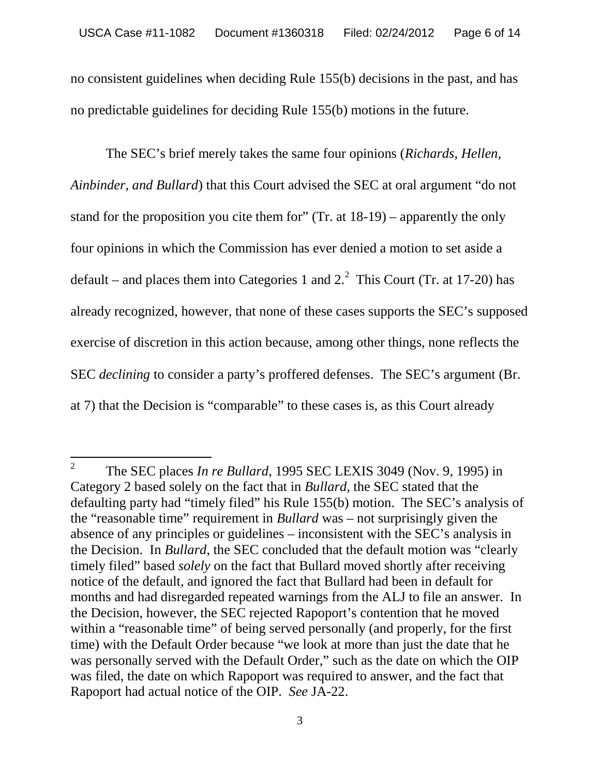no consistent guidelines when deciding Rule 155(b) decisions in the past, and has no predictable guidelines for deciding Rule 155(b) motions in the future.

The SEC's brief merely takes the same four opinions (*Richards, Hellen, Ainbinder, and Bullard*) that this Court advised the SEC at oral argument "do not stand for the proposition you cite them for" (Tr. at 18-19) – apparently the only four opinions in which the Commission has ever denied a motion to set aside a default – and places them into Categories 1 and  $2<sup>2</sup>$  This Court (Tr. at 17-20) has already recognized, however, that none of these cases supports the SEC's supposed exercise of discretion in this action because, among other things, none reflects the SEC *declining* to consider a party's proffered defenses. The SEC's argument (Br. at 7) that the Decision is "comparable" to these cases is, as this Court already

<sup>2</sup> The SEC places *In re Bullard*, 1995 SEC LEXIS 3049 (Nov. 9, 1995) in Category 2 based solely on the fact that in *Bullard,* the SEC stated that the defaulting party had "timely filed" his Rule 155(b) motion. The SEC's analysis of the "reasonable time" requirement in *Bullard* was – not surprisingly given the absence of any principles or guidelines – inconsistent with the SEC's analysis in the Decision. In *Bullard*, the SEC concluded that the default motion was "clearly timely filed" based *solely* on the fact that Bullard moved shortly after receiving notice of the default, and ignored the fact that Bullard had been in default for months and had disregarded repeated warnings from the ALJ to file an answer. In the Decision, however, the SEC rejected Rapoport's contention that he moved within a "reasonable time" of being served personally (and properly, for the first time) with the Default Order because "we look at more than just the date that he was personally served with the Default Order," such as the date on which the OIP was filed, the date on which Rapoport was required to answer, and the fact that Rapoport had actual notice of the OIP. *See* JA-22.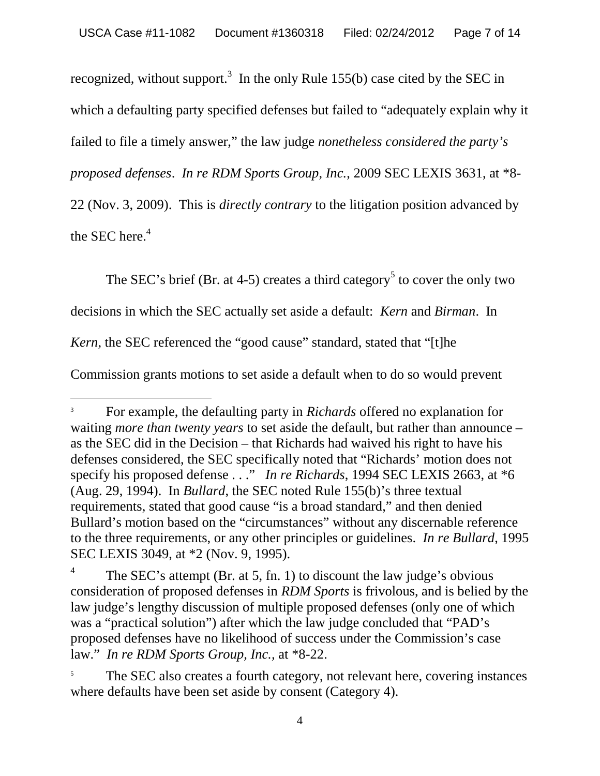recognized, without support.<sup>3</sup> In the only Rule 155(b) case cited by the SEC in which a defaulting party specified defenses but failed to "adequately explain why it failed to file a timely answer," the law judge *nonetheless considered the party's*

*proposed defenses*. *In re RDM Sports Group, Inc.*, 2009 SEC LEXIS 3631, at \*8-

22 (Nov. 3, 2009). This is *directly contrary* to the litigation position advanced by the SEC here.<sup>4</sup>

The SEC's brief (Br. at 4-5) creates a third category<sup>5</sup> to cover the only two

decisions in which the SEC actually set aside a default: *Kern* and *Birman*. In

*Kern*, the SEC referenced the "good cause" standard, stated that "[t]he

Commission grants motions to set aside a default when to do so would prevent

<sup>3</sup> For example, the defaulting party in *Richards* offered no explanation for waiting *more than twenty years* to set aside the default, but rather than announce – as the SEC did in the Decision – that Richards had waived his right to have his defenses considered, the SEC specifically noted that "Richards' motion does not specify his proposed defense . . ." *In re Richards*, 1994 SEC LEXIS 2663, at \*6 (Aug. 29, 1994). In *Bullard*, the SEC noted Rule 155(b)'s three textual requirements, stated that good cause "is a broad standard," and then denied Bullard's motion based on the "circumstances" without any discernable reference to the three requirements, or any other principles or guidelines. *In re Bullard*, 1995 SEC LEXIS 3049, at \*2 (Nov. 9, 1995).

<sup>4</sup> The SEC's attempt (Br. at 5, fn. 1) to discount the law judge's obvious consideration of proposed defenses in *RDM Sports* is frivolous, and is belied by the law judge's lengthy discussion of multiple proposed defenses (only one of which was a "practical solution") after which the law judge concluded that "PAD's proposed defenses have no likelihood of success under the Commission's case law." *In re RDM Sports Group, Inc.,* at \*8-22.

The SEC also creates a fourth category, not relevant here, covering instances where defaults have been set aside by consent (Category 4).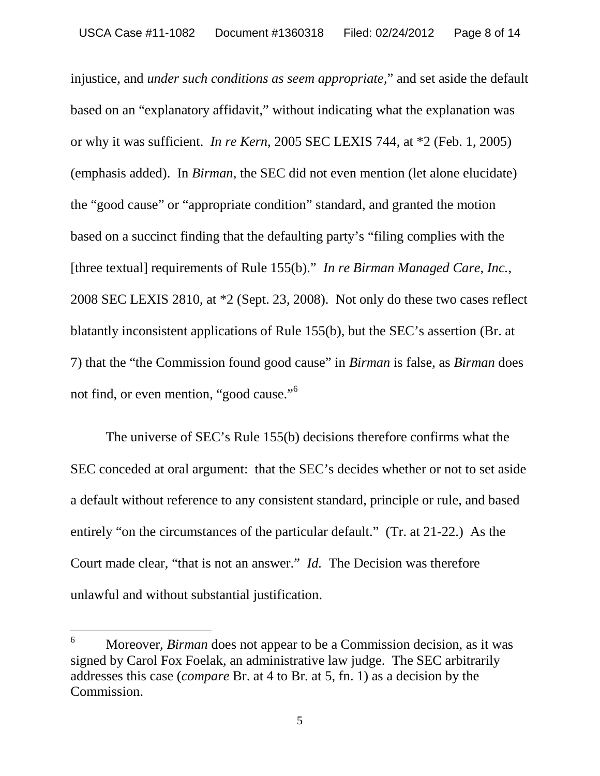injustice, and *under such conditions as seem appropriate*," and set aside the default based on an "explanatory affidavit," without indicating what the explanation was or why it was sufficient. *In re Kern,* 2005 SEC LEXIS 744, at \*2 (Feb. 1, 2005) (emphasis added). In *Birman*, the SEC did not even mention (let alone elucidate) the "good cause" or "appropriate condition" standard, and granted the motion based on a succinct finding that the defaulting party's "filing complies with the [three textual] requirements of Rule 155(b)." *In re Birman Managed Care, Inc.*, 2008 SEC LEXIS 2810, at \*2 (Sept. 23, 2008). Not only do these two cases reflect blatantly inconsistent applications of Rule 155(b), but the SEC's assertion (Br. at 7) that the "the Commission found good cause" in *Birman* is false, as *Birman* does not find, or even mention, "good cause."<sup>6</sup>

The universe of SEC's Rule 155(b) decisions therefore confirms what the SEC conceded at oral argument: that the SEC's decides whether or not to set aside a default without reference to any consistent standard, principle or rule, and based entirely "on the circumstances of the particular default." (Tr. at 21-22.) As the Court made clear, "that is not an answer." *Id.* The Decision was therefore unlawful and without substantial justification.

<sup>6</sup> Moreover, *Birman* does not appear to be a Commission decision, as it was signed by Carol Fox Foelak, an administrative law judge. The SEC arbitrarily addresses this case (*compare* Br. at 4 to Br. at 5, fn. 1) as a decision by the Commission.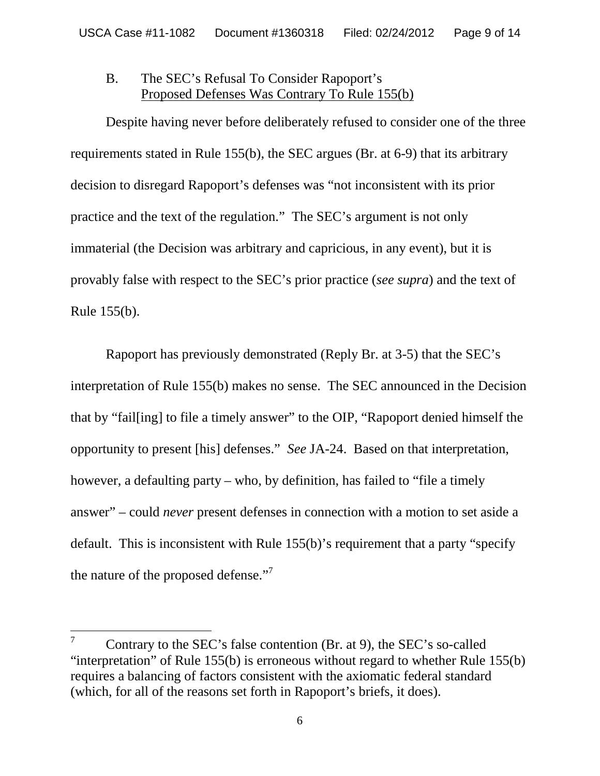## B. The SEC's Refusal To Consider Rapoport's Proposed Defenses Was Contrary To Rule 155(b)

Despite having never before deliberately refused to consider one of the three requirements stated in Rule 155(b), the SEC argues (Br. at 6-9) that its arbitrary decision to disregard Rapoport's defenses was "not inconsistent with its prior practice and the text of the regulation." The SEC's argument is not only immaterial (the Decision was arbitrary and capricious, in any event), but it is provably false with respect to the SEC's prior practice (*see supra*) and the text of Rule 155(b).

Rapoport has previously demonstrated (Reply Br. at 3-5) that the SEC's interpretation of Rule 155(b) makes no sense. The SEC announced in the Decision that by "fail[ing] to file a timely answer" to the OIP, "Rapoport denied himself the opportunity to present [his] defenses." *See* JA-24. Based on that interpretation, however, a defaulting party – who, by definition, has failed to "file a timely" answer" – could *never* present defenses in connection with a motion to set aside a default. This is inconsistent with Rule 155(b)'s requirement that a party "specify the nature of the proposed defense."<sup>7</sup>

 $7^7$  Contrary to the SEC's false contention (Br. at 9), the SEC's so-called "interpretation" of Rule 155(b) is erroneous without regard to whether Rule 155(b) requires a balancing of factors consistent with the axiomatic federal standard (which, for all of the reasons set forth in Rapoport's briefs, it does).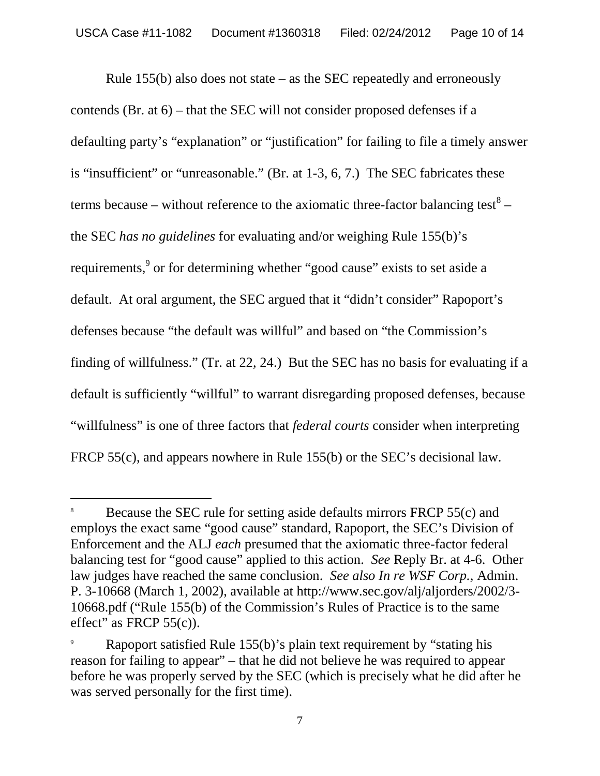Rule 155(b) also does not state – as the SEC repeatedly and erroneously contends (Br. at 6) – that the SEC will not consider proposed defenses if a defaulting party's "explanation" or "justification" for failing to file a timely answer is "insufficient" or "unreasonable." (Br. at 1-3, 6, 7.) The SEC fabricates these terms because – without reference to the axiomatic three-factor balancing test<sup>8</sup> – the SEC *has no guidelines* for evaluating and/or weighing Rule 155(b)'s requirements,<sup>9</sup> or for determining whether "good cause" exists to set aside a default. At oral argument, the SEC argued that it "didn't consider" Rapoport's defenses because "the default was willful" and based on "the Commission's finding of willfulness." (Tr. at 22, 24.) But the SEC has no basis for evaluating if a default is sufficiently "willful" to warrant disregarding proposed defenses, because "willfulness" is one of three factors that *federal courts* consider when interpreting FRCP 55(c), and appears nowhere in Rule 155(b) or the SEC's decisional law.

<sup>8</sup> Because the SEC rule for setting aside defaults mirrors FRCP 55(c) and employs the exact same "good cause" standard, Rapoport, the SEC's Division of Enforcement and the ALJ *each* presumed that the axiomatic three-factor federal balancing test for "good cause" applied to this action. *See* Reply Br. at 4-6. Other law judges have reached the same conclusion. *See also In re WSF Corp.,* Admin. P. 3-10668 (March 1, 2002), available at http://www.sec.gov/alj/aljorders/2002/3- 10668.pdf ("Rule 155(b) of the Commission's Rules of Practice is to the same effect" as FRCP  $55(c)$ ).

Rapoport satisfied Rule 155(b)'s plain text requirement by "stating his reason for failing to appear" – that he did not believe he was required to appear before he was properly served by the SEC (which is precisely what he did after he was served personally for the first time).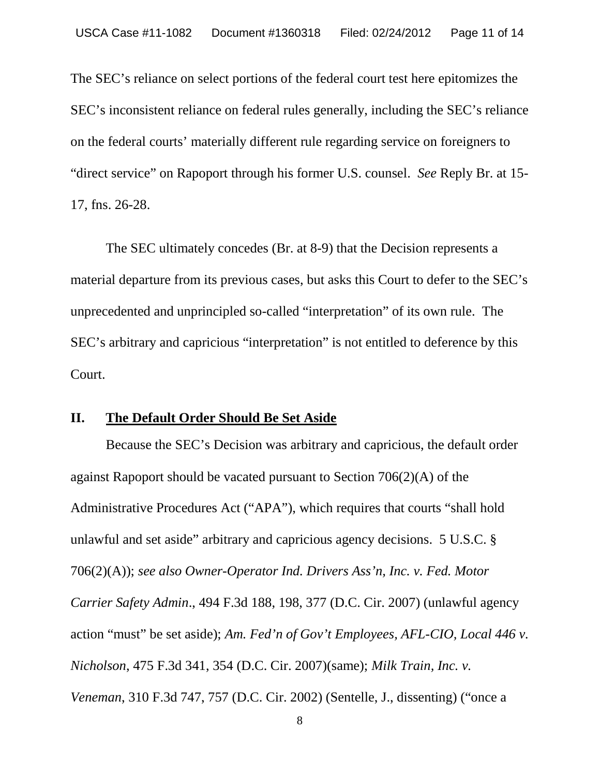The SEC's reliance on select portions of the federal court test here epitomizes the SEC's inconsistent reliance on federal rules generally, including the SEC's reliance on the federal courts' materially different rule regarding service on foreigners to "direct service" on Rapoport through his former U.S. counsel. *See* Reply Br. at 15- 17, fns. 26-28.

The SEC ultimately concedes (Br. at 8-9) that the Decision represents a material departure from its previous cases, but asks this Court to defer to the SEC's unprecedented and unprincipled so-called "interpretation" of its own rule. The SEC's arbitrary and capricious "interpretation" is not entitled to deference by this Court.

#### **II. The Default Order Should Be Set Aside**

Because the SEC's Decision was arbitrary and capricious, the default order against Rapoport should be vacated pursuant to Section 706(2)(A) of the Administrative Procedures Act ("APA"), which requires that courts "shall hold unlawful and set aside" arbitrary and capricious agency decisions. 5 U.S.C. § 706(2)(A)); *see also Owner-Operator Ind. Drivers Ass'n, Inc. v. Fed. Motor Carrier Safety Admin*., 494 F.3d 188, 198, 377 (D.C. Cir. 2007) (unlawful agency action "must" be set aside); *Am. Fed'n of Gov't Employees, AFL-CIO, Local 446 v. Nicholson*, 475 F.3d 341, 354 (D.C. Cir. 2007)(same); *Milk Train, Inc. v. Veneman*, 310 F.3d 747, 757 (D.C. Cir. 2002) (Sentelle, J., dissenting) ("once a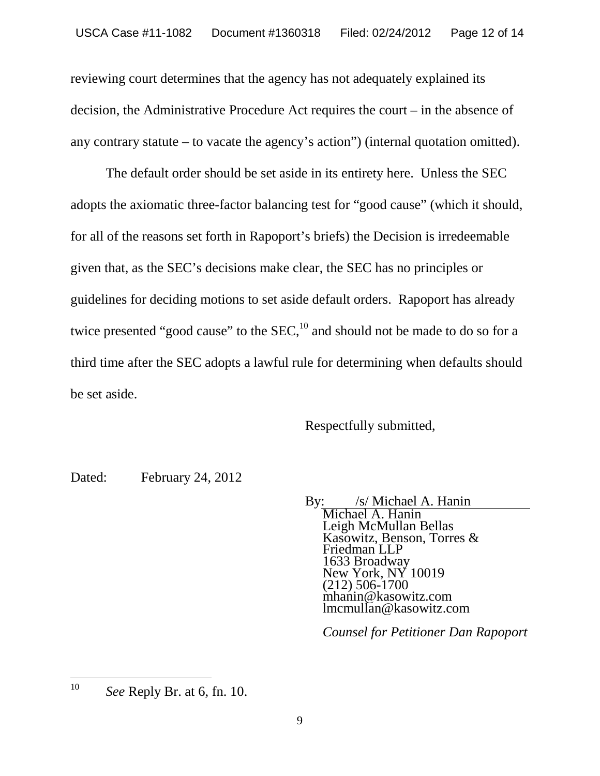reviewing court determines that the agency has not adequately explained its decision, the Administrative Procedure Act requires the court – in the absence of any contrary statute – to vacate the agency's action") (internal quotation omitted).

The default order should be set aside in its entirety here. Unless the SEC adopts the axiomatic three-factor balancing test for "good cause" (which it should, for all of the reasons set forth in Rapoport's briefs) the Decision is irredeemable given that, as the SEC's decisions make clear, the SEC has no principles or guidelines for deciding motions to set aside default orders. Rapoport has already twice presented "good cause" to the  $SEC.10}$  and should not be made to do so for a third time after the SEC adopts a lawful rule for determining when defaults should be set aside.

Respectfully submitted,

Dated: February 24, 2012

By: /s/ Michael A. Hanin

Michael A. Hanin Leigh McMullan Bellas Kasowitz, Benson, Torres & Friedman LLP 1633 Broadway New York, NY 10019 (212) 506-1700 mhanin@kasowitz.com lmcmullan@kasowitz.com

*Counsel for Petitioner Dan Rapoport*

<sup>10</sup> *See* Reply Br. at 6, fn. 10.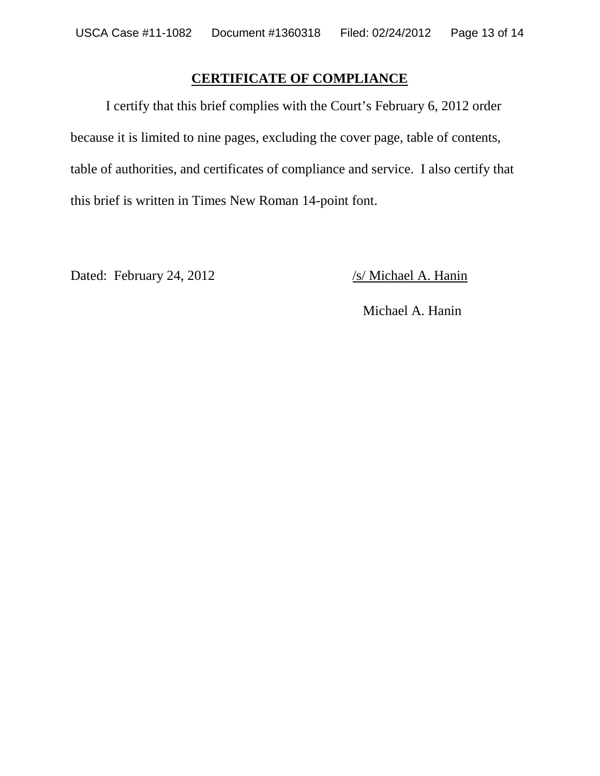# **CERTIFICATE OF COMPLIANCE**

I certify that this brief complies with the Court's February 6, 2012 order because it is limited to nine pages, excluding the cover page, table of contents, table of authorities, and certificates of compliance and service. I also certify that this brief is written in Times New Roman 14-point font.

Dated: February 24, 2012 /s/ Michael A. Hanin

Michael A. Hanin